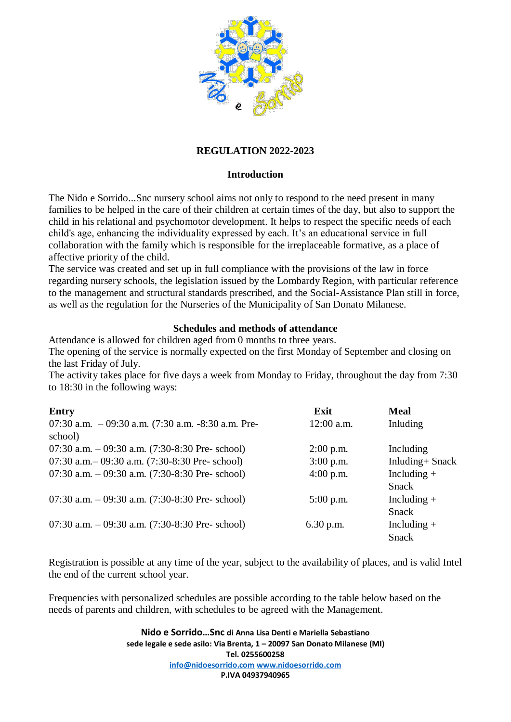

# **REGULATION 2022-2023**

## **Introduction**

The Nido e Sorrido...Snc nursery school aims not only to respond to the need present in many families to be helped in the care of their children at certain times of the day, but also to support the child in his relational and psychomotor development. It helps to respect the specific needs of each child's age, enhancing the individuality expressed by each. It's an educational service in full collaboration with the family which is responsible for the irreplaceable formative, as a place of affective priority of the child.

The service was created and set up in full compliance with the provisions of the law in force regarding nursery schools, the legislation issued by the Lombardy Region, with particular reference to the management and structural standards prescribed, and the Social-Assistance Plan still in force, as well as the regulation for the Nurseries of the Municipality of San Donato Milanese.

## **Schedules and methods of attendance**

Attendance is allowed for children aged from 0 months to three years.

The opening of the service is normally expected on the first Monday of September and closing on the last Friday of July.

The activity takes place for five days a week from Monday to Friday, throughout the day from 7:30 to 18:30 in the following ways:

| <b>Entry</b>                                            | Exit         | <b>Meal</b>      |
|---------------------------------------------------------|--------------|------------------|
| 07:30 a.m. $-$ 09:30 a.m. (7:30 a.m. $-$ 8:30 a.m. Pre- | $12:00$ a.m. | Inluding         |
| school)                                                 |              |                  |
| 07:30 a.m. $-$ 09:30 a.m. (7:30-8:30 Pre- school)       | $2:00$ p.m.  | Including        |
| 07:30 a.m. $-$ 09:30 a.m. (7:30-8:30 Pre- school)       | $3:00$ p.m.  | Inluding + Snack |
| 07:30 a.m. $-$ 09:30 a.m. (7:30-8:30 Pre- school)       | $4:00$ p.m.  | Including $+$    |
|                                                         |              | Snack            |
| 07:30 a.m. $-$ 09:30 a.m. (7:30-8:30 Pre- school)       | $5:00$ p.m.  | Including $+$    |
|                                                         |              | Snack            |
| 07:30 a.m. $-$ 09:30 a.m. (7:30-8:30 Pre- school)       | $6.30$ p.m.  | Including $+$    |
|                                                         |              | <b>Snack</b>     |

Registration is possible at any time of the year, subject to the availability of places, and is valid Intel the end of the current school year.

Frequencies with personalized schedules are possible according to the table below based on the needs of parents and children, with schedules to be agreed with the Management.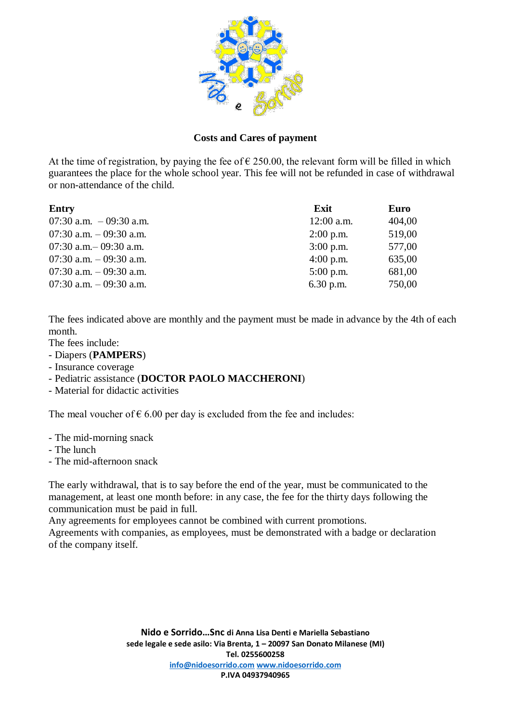

## **Costs and Cares of payment**

At the time of registration, by paying the fee of  $\epsilon$  250.00, the relevant form will be filled in which guarantees the place for the whole school year. This fee will not be refunded in case of withdrawal or non-attendance of the child.

| Entry                     | Exit         | Euro   |
|---------------------------|--------------|--------|
| 07:30 a.m. $-$ 09:30 a.m. | $12:00$ a.m. | 404,00 |
| 07:30 a.m. $-$ 09:30 a.m. | $2:00$ p.m.  | 519,00 |
| 07:30 a.m. $-$ 09:30 a.m. | $3:00$ p.m.  | 577,00 |
| 07:30 a.m. $-$ 09:30 a.m. | $4:00$ p.m.  | 635,00 |
| 07:30 a.m. $-$ 09:30 a.m. | $5:00$ p.m.  | 681,00 |
| 07:30 a.m. $-$ 09:30 a.m. | $6.30$ p.m.  | 750,00 |

The fees indicated above are monthly and the payment must be made in advance by the 4th of each month.

- The fees include:
- Diapers (**PAMPERS**)
- Insurance coverage
- Pediatric assistance (**DOCTOR PAOLO MACCHERONI**)
- Material for didactic activities

The meal voucher of  $\epsilon$  6.00 per day is excluded from the fee and includes:

- The mid-morning snack
- The lunch
- The mid-afternoon snack

The early withdrawal, that is to say before the end of the year, must be communicated to the management, at least one month before: in any case, the fee for the thirty days following the communication must be paid in full.

Any agreements for employees cannot be combined with current promotions.

Agreements with companies, as employees, must be demonstrated with a badge or declaration of the company itself.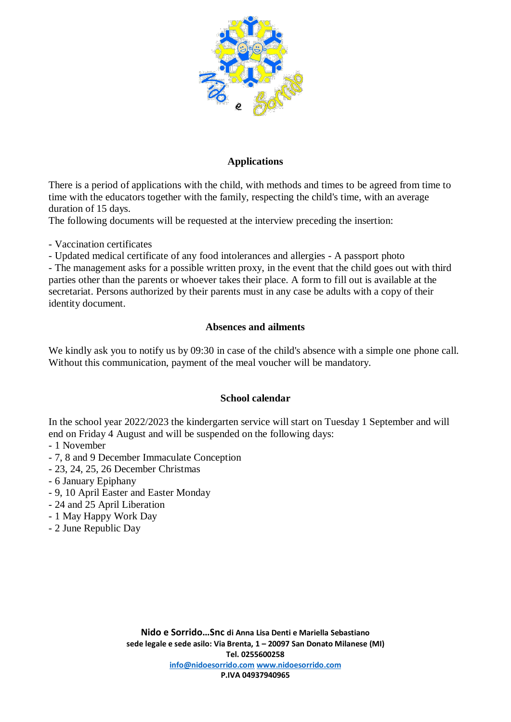

## **Applications**

There is a period of applications with the child, with methods and times to be agreed from time to time with the educators together with the family, respecting the child's time, with an average duration of 15 days.

The following documents will be requested at the interview preceding the insertion:

- Vaccination certificates

- Updated medical certificate of any food intolerances and allergies - A passport photo

- The management asks for a possible written proxy, in the event that the child goes out with third parties other than the parents or whoever takes their place. A form to fill out is available at the secretariat. Persons authorized by their parents must in any case be adults with a copy of their identity document.

## **Absences and ailments**

We kindly ask you to notify us by 09:30 in case of the child's absence with a simple one phone call. Without this communication, payment of the meal voucher will be mandatory.

#### **School calendar**

In the school year 2022/2023 the kindergarten service will start on Tuesday 1 September and will end on Friday 4 August and will be suspended on the following days:

- 1 November
- 7, 8 and 9 December Immaculate Conception
- 23, 24, 25, 26 December Christmas
- 6 January Epiphany
- 9, 10 April Easter and Easter Monday
- 24 and 25 April Liberation
- 1 May Happy Work Day
- 2 June Republic Day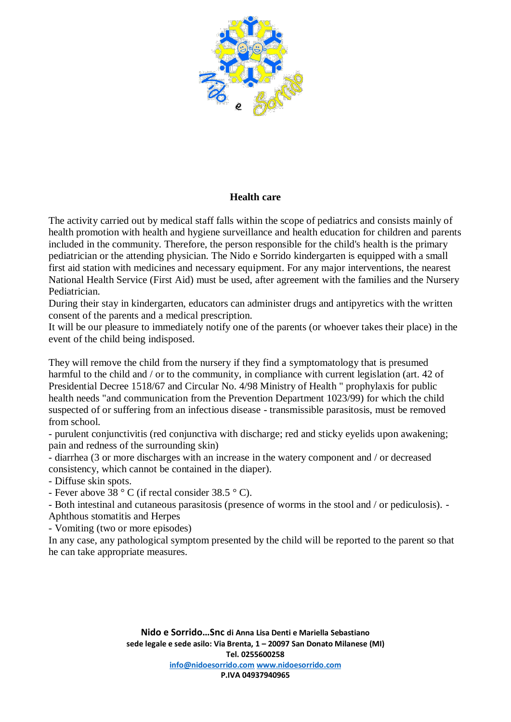

## **Health care**

The activity carried out by medical staff falls within the scope of pediatrics and consists mainly of health promotion with health and hygiene surveillance and health education for children and parents included in the community. Therefore, the person responsible for the child's health is the primary pediatrician or the attending physician. The Nido e Sorrido kindergarten is equipped with a small first aid station with medicines and necessary equipment. For any major interventions, the nearest National Health Service (First Aid) must be used, after agreement with the families and the Nursery Pediatrician.

During their stay in kindergarten, educators can administer drugs and antipyretics with the written consent of the parents and a medical prescription.

It will be our pleasure to immediately notify one of the parents (or whoever takes their place) in the event of the child being indisposed.

They will remove the child from the nursery if they find a symptomatology that is presumed harmful to the child and / or to the community, in compliance with current legislation (art. 42 of Presidential Decree 1518/67 and Circular No. 4/98 Ministry of Health " prophylaxis for public health needs "and communication from the Prevention Department 1023/99) for which the child suspected of or suffering from an infectious disease - transmissible parasitosis, must be removed from school.

- purulent conjunctivitis (red conjunctiva with discharge; red and sticky eyelids upon awakening; pain and redness of the surrounding skin)

- diarrhea (3 or more discharges with an increase in the watery component and / or decreased consistency, which cannot be contained in the diaper).

- Diffuse skin spots.

- Fever above 38 ° C (if rectal consider 38.5 ° C).

- Both intestinal and cutaneous parasitosis (presence of worms in the stool and / or pediculosis). - Aphthous stomatitis and Herpes

- Vomiting (two or more episodes)

In any case, any pathological symptom presented by the child will be reported to the parent so that he can take appropriate measures.